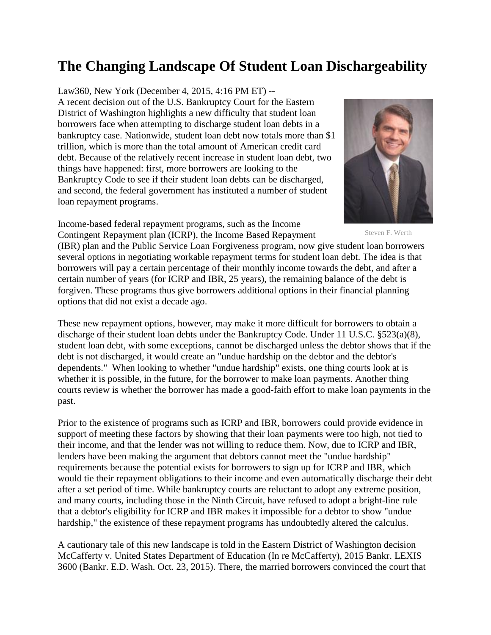## **The Changing Landscape Of Student Loan Dischargeability**

## Law360, New York (December 4, 2015, 4:16 PM ET) --

A recent decision out of the U.S. Bankruptcy Court for the Eastern District of Washington highlights a new difficulty that student loan borrowers face when attempting to discharge student loan debts in a bankruptcy case. Nationwide, student loan debt now totals more than \$1 trillion, which is more than the total amount of American credit card debt. Because of the relatively recent increase in student loan debt, two things have happened: first, more borrowers are looking to the Bankruptcy Code to see if their student loan debts can be discharged, and second, the federal government has instituted a number of student loan repayment programs.

Income-based federal repayment programs, such as the Income Contingent Repayment plan (ICRP), the Income Based Repayment



Steven F. Werth

(IBR) plan and the Public Service Loan Forgiveness program, now give student loan borrowers several options in negotiating workable repayment terms for student loan debt. The idea is that borrowers will pay a certain percentage of their monthly income towards the debt, and after a certain number of years (for ICRP and IBR, 25 years), the remaining balance of the debt is forgiven. These programs thus give borrowers additional options in their financial planning options that did not exist a decade ago.

These new repayment options, however, may make it more difficult for borrowers to obtain a discharge of their student loan debts under the Bankruptcy Code. Under 11 U.S.C. §523(a)(8), student loan debt, with some exceptions, cannot be discharged unless the debtor shows that if the debt is not discharged, it would create an "undue hardship on the debtor and the debtor's dependents." When looking to whether "undue hardship" exists, one thing courts look at is whether it is possible, in the future, for the borrower to make loan payments. Another thing courts review is whether the borrower has made a good-faith effort to make loan payments in the past.

Prior to the existence of programs such as ICRP and IBR, borrowers could provide evidence in support of meeting these factors by showing that their loan payments were too high, not tied to their income, and that the lender was not willing to reduce them. Now, due to ICRP and IBR, lenders have been making the argument that debtors cannot meet the "undue hardship" requirements because the potential exists for borrowers to sign up for ICRP and IBR, which would tie their repayment obligations to their income and even automatically discharge their debt after a set period of time. While bankruptcy courts are reluctant to adopt any extreme position, and many courts, including those in the Ninth Circuit, have refused to adopt a bright-line rule that a debtor's eligibility for ICRP and IBR makes it impossible for a debtor to show "undue hardship," the existence of these repayment programs has undoubtedly altered the calculus.

A cautionary tale of this new landscape is told in the Eastern District of Washington decision McCafferty v. United States Department of Education (In re McCafferty), 2015 Bankr. LEXIS 3600 (Bankr. E.D. Wash. Oct. 23, 2015). There, the married borrowers convinced the court that